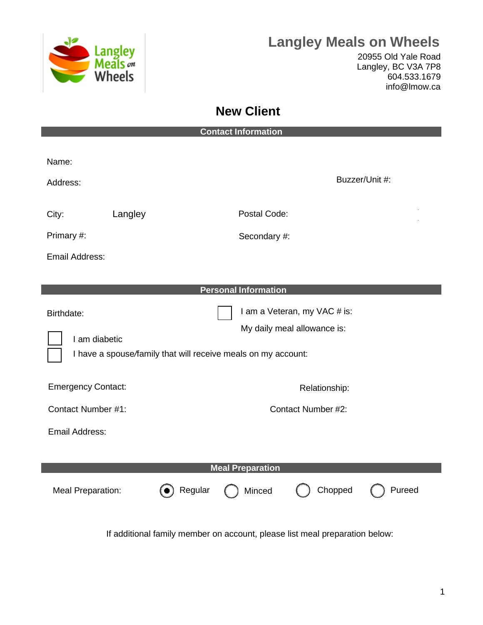

## **Langley Meals on Wheels**

20955 Old Yale Road Langley, BC V3A 7P8 604.533.1679 [info@lmow.ca](mailto:info@lmow.ca)

## **New Client**

| <b>Contact Information</b>  |                                                                                                                              |  |  |
|-----------------------------|------------------------------------------------------------------------------------------------------------------------------|--|--|
| Name:<br>Address:           | Buzzer/Unit #:                                                                                                               |  |  |
| Langley<br>City:            | Postal Code:                                                                                                                 |  |  |
| Primary #:                  | Secondary #                                                                                                                  |  |  |
| Email Address:              |                                                                                                                              |  |  |
|                             | <b>Personal Information</b>                                                                                                  |  |  |
| Birthdate:<br>I am diabetic | I am a Veteran, my VAC # is:<br>My daily meal allowance is:<br>I have a spouse/family that will receive meals on my account: |  |  |
| <b>Emergency Contact:</b>   | Relationship:                                                                                                                |  |  |
| Contact Number #1:          | Contact Number #2:                                                                                                           |  |  |
| Email Address:              |                                                                                                                              |  |  |
| <b>Meal Preparation</b>     |                                                                                                                              |  |  |
| <b>Meal Preparation:</b>    | Chopped<br>) Regular<br>( ) Minced<br>Pureed                                                                                 |  |  |
|                             | If additional family member on account, please list meal preparation below:                                                  |  |  |